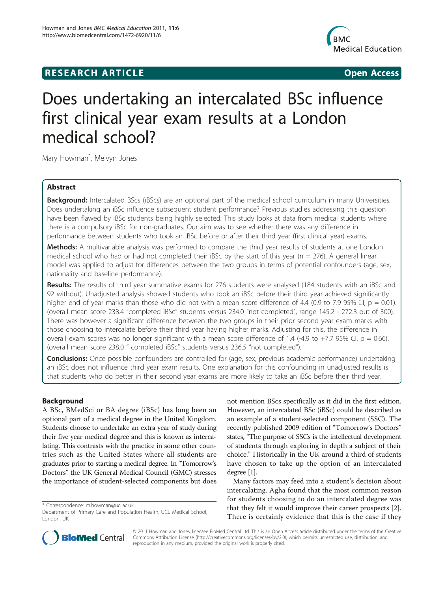# **RESEARCH ARTICLE Example 2018 CONSIDERING ACCESS**



# Does undertaking an intercalated BSc influence first clinical year exam results at a London medical school?

Mary Howman\* , Melvyn Jones

# Abstract

**Background:** Intercalated BScs (iBScs) are an optional part of the medical school curriculum in many Universities. Does undertaking an iBSc influence subsequent student performance? Previous studies addressing this question have been flawed by iBSc students being highly selected. This study looks at data from medical students where there is a compulsory iBSc for non-graduates. Our aim was to see whether there was any difference in performance between students who took an iBSc before or after their third year (first clinical year) exams.

Methods: A multivariable analysis was performed to compare the third year results of students at one London medical school who had or had not completed their iBSc by the start of this year ( $n = 276$ ). A general linear model was applied to adjust for differences between the two groups in terms of potential confounders (age, sex, nationality and baseline performance).

Results: The results of third year summative exams for 276 students were analysed (184 students with an iBSc and 92 without). Unadjusted analysis showed students who took an iBSc before their third year achieved significantly higher end of year marks than those who did not with a mean score difference of 4.4 (0.9 to 7.9 95% CI,  $p = 0.01$ ). (overall mean score 238.4 "completed iBSc" students versus 234.0 "not completed", range 145.2 - 272.3 out of 300). There was however a significant difference between the two groups in their prior second year exam marks with those choosing to intercalate before their third year having higher marks. Adjusting for this, the difference in overall exam scores was no longer significant with a mean score difference of 1.4 (-4.9 to +7.7 95% CI,  $p = 0.66$ ). (overall mean score 238.0 " completed iBSc" students versus 236.5 "not completed").

**Conclusions:** Once possible confounders are controlled for (age, sex, previous academic performance) undertaking an iBSc does not influence third year exam results. One explanation for this confounding in unadjusted results is that students who do better in their second year exams are more likely to take an iBSc before their third year.

# Background

A BSc, BMedSci or BA degree (iBSc) has long been an optional part of a medical degree in the United Kingdom. Students choose to undertake an extra year of study during their five year medical degree and this is known as intercalating. This contrasts with the practice in some other countries such as the United States where all students are graduates prior to starting a medical degree. In "Tomorrow's Doctors" the UK General Medical Council (GMC) stresses the importance of student-selected components but does

\* Correspondence: [m.howman@ucl.ac.uk](mailto:m.howman@ucl.ac.uk)

not mention BScs specifically as it did in the first edition. However, an intercalated BSc (iBSc) could be described as an example of a student-selected component (SSC). The recently published 2009 edition of "Tomorrow's Doctors" states, "The purpose of SSCs is the intellectual development of students through exploring in depth a subject of their choice." Historically in the UK around a third of students have chosen to take up the option of an intercalated degree [[1](#page-6-0)].

Many factors may feed into a student's decision about intercalating. Agha found that the most common reason for students choosing to do an intercalated degree was that they felt it would improve their career prospects [\[2](#page-6-0)]. There is certainly evidence that this is the case if they



© 2011 Howman and Jones; licensee BioMed Central Ltd. This is an Open Access article distributed under the terms of the Creative Commons Attribution License [\(http://creativecommons.org/licenses/by/2.0](http://creativecommons.org/licenses/by/2.0)), which permits unrestricted use, distribution, and reproduction in any medium, provided the original work is properly cited.

Department of Primary Care and Population Health, UCL Medical School, London, UK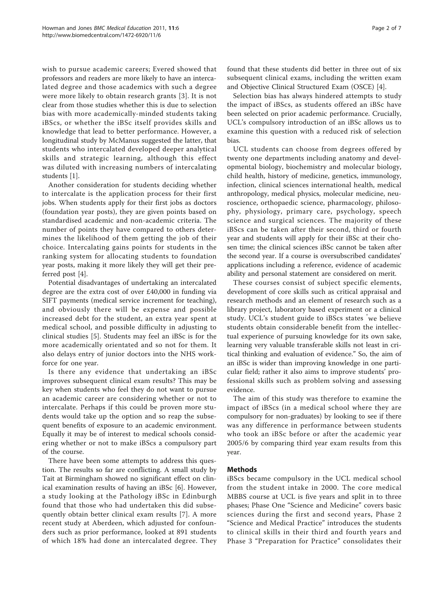wish to pursue academic careers; Evered showed that professors and readers are more likely to have an intercalated degree and those academics with such a degree were more likely to obtain research grants [[3](#page-6-0)]. It is not clear from those studies whether this is due to selection bias with more academically-minded students taking iBScs, or whether the iBSc itself provides skills and knowledge that lead to better performance. However, a longitudinal study by McManus suggested the latter, that students who intercalated developed deeper analytical skills and strategic learning, although this effect was diluted with increasing numbers of intercalating students [[1\]](#page-6-0).

Another consideration for students deciding whether to intercalate is the application process for their first jobs. When students apply for their first jobs as doctors (foundation year posts), they are given points based on standardised academic and non-academic criteria. The number of points they have compared to others determines the likelihood of them getting the job of their choice. Intercalating gains points for students in the ranking system for allocating students to foundation year posts, making it more likely they will get their preferred post [[4\]](#page-6-0).

Potential disadvantages of undertaking an intercalated degree are the extra cost of over £40,000 in funding via SIFT payments (medical service increment for teaching), and obviously there will be expense and possible increased debt for the student, an extra year spent at medical school, and possible difficulty in adjusting to clinical studies [\[5](#page-6-0)]. Students may feel an iBSc is for the more academically orientated and so not for them. It also delays entry of junior doctors into the NHS workforce for one year.

Is there any evidence that undertaking an iBSc improves subsequent clinical exam results? This may be key when students who feel they do not want to pursue an academic career are considering whether or not to intercalate. Perhaps if this could be proven more students would take up the option and so reap the subsequent benefits of exposure to an academic environment. Equally it may be of interest to medical schools considering whether or not to make iBScs a compulsory part of the course.

There have been some attempts to address this question. The results so far are conflicting. A small study by Tait at Birmingham showed no significant effect on clinical examination results of having an iBSc [[6\]](#page-6-0). However, a study looking at the Pathology iBSc in Edinburgh found that those who had undertaken this did subsequently obtain better clinical exam results [[7](#page-6-0)]. A more recent study at Aberdeen, which adjusted for confounders such as prior performance, looked at 891 students of which 18% had done an intercalated degree. They

found that these students did better in three out of six subsequent clinical exams, including the written exam

and Objective Clinical Structured Exam (OSCE) [[4](#page-6-0)]. Selection bias has always hindered attempts to study the impact of iBScs, as students offered an iBSc have been selected on prior academic performance. Crucially, UCL's compulsory introduction of an iBSc allows us to examine this question with a reduced risk of selection bias.

UCL students can choose from degrees offered by twenty one departments including anatomy and developmental biology, biochemistry and molecular biology, child health, history of medicine, genetics, immunology, infection, clinical sciences international health, medical anthropology, medical physics, molecular medicine, neuroscience, orthopaedic science, pharmacology, philosophy, physiology, primary care, psychology, speech science and surgical sciences. The majority of these iBScs can be taken after their second, third or fourth year and students will apply for their iBSc at their chosen time; the clinical sciences iBSc cannot be taken after the second year. If a course is oversubscribed candidates' applications including a reference, evidence of academic ability and personal statement are considered on merit.

These courses consist of subject specific elements, development of core skills such as critical appraisal and research methods and an element of research such as a library project, laboratory based experiment or a clinical study. UCL's student guide to iBScs states " we believe students obtain considerable benefit from the intellectual experience of pursuing knowledge for its own sake, learning very valuable transferable skills not least in critical thinking and evaluation of evidence." So, the aim of an iBSc is wider than improving knowledge in one particular field; rather it also aims to improve students' professional skills such as problem solving and assessing evidence.

The aim of this study was therefore to examine the impact of iBScs (in a medical school where they are compulsory for non-graduates) by looking to see if there was any difference in performance between students who took an iBSc before or after the academic year 2005/6 by comparing third year exam results from this year.

# Methods

iBScs became compulsory in the UCL medical school from the student intake in 2000. The core medical MBBS course at UCL is five years and split in to three phases; Phase One "Science and Medicine" covers basic sciences during the first and second years, Phase 2 "Science and Medical Practice" introduces the students to clinical skills in their third and fourth years and Phase 3 "Preparation for Practice" consolidates their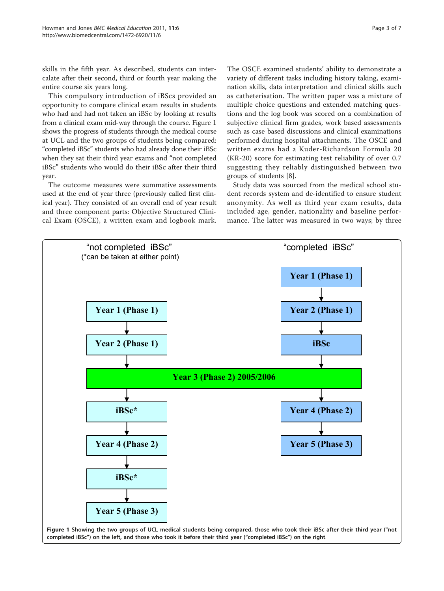skills in the fifth year. As described, students can intercalate after their second, third or fourth year making the entire course six years long.

This compulsory introduction of iBScs provided an opportunity to compare clinical exam results in students who had and had not taken an iBSc by looking at results from a clinical exam mid-way through the course. Figure 1 shows the progress of students through the medical course at UCL and the two groups of students being compared: "completed iBSc" students who had already done their iBSc when they sat their third year exams and "not completed iBSc" students who would do their iBSc after their third year.

The outcome measures were summative assessments used at the end of year three (previously called first clinical year). They consisted of an overall end of year result and three component parts: Objective Structured Clinical Exam (OSCE), a written exam and logbook mark.

The OSCE examined students' ability to demonstrate a variety of different tasks including history taking, examination skills, data interpretation and clinical skills such as catheterisation. The written paper was a mixture of multiple choice questions and extended matching questions and the log book was scored on a combination of subjective clinical firm grades, work based assessments such as case based discussions and clinical examinations performed during hospital attachments. The OSCE and written exams had a Kuder-Richardson Formula 20 (KR-20) score for estimating test reliability of over 0.7 suggesting they reliably distinguished between two groups of students [\[8](#page-6-0)].

Study data was sourced from the medical school student records system and de-identified to ensure student anonymity. As well as third year exam results, data included age, gender, nationality and baseline performance. The latter was measured in two ways; by three

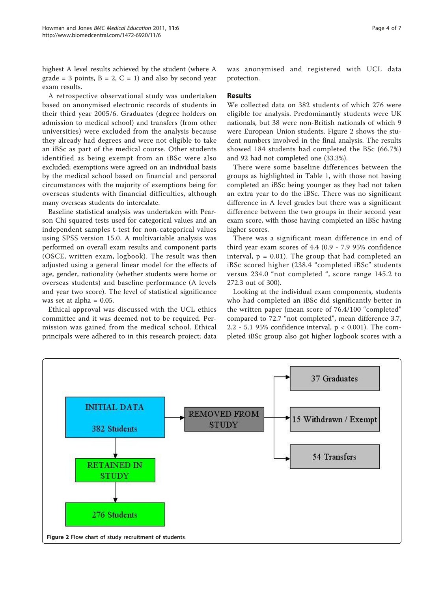highest A level results achieved by the student (where A grade = 3 points,  $B = 2$ ,  $C = 1$ ) and also by second year exam results.

A retrospective observational study was undertaken based on anonymised electronic records of students in their third year 2005/6. Graduates (degree holders on admission to medical school) and transfers (from other universities) were excluded from the analysis because they already had degrees and were not eligible to take an iBSc as part of the medical course. Other students identified as being exempt from an iBSc were also excluded; exemptions were agreed on an individual basis by the medical school based on financial and personal circumstances with the majority of exemptions being for overseas students with financial difficulties, although many overseas students do intercalate.

Baseline statistical analysis was undertaken with Pearson Chi squared tests used for categorical values and an independent samples t-test for non-categorical values using SPSS version 15.0. A multivariable analysis was performed on overall exam results and component parts (OSCE, written exam, logbook). The result was then adjusted using a general linear model for the effects of age, gender, nationality (whether students were home or overseas students) and baseline performance (A levels and year two score). The level of statistical significance was set at alpha  $= 0.05$ .

Ethical approval was discussed with the UCL ethics committee and it was deemed not to be required. Permission was gained from the medical school. Ethical principals were adhered to in this research project; data Page 4 of 7

was anonymised and registered with UCL data protection.

# Results

We collected data on 382 students of which 276 were eligible for analysis. Predominantly students were UK nationals, but 38 were non-British nationals of which 9 were European Union students. Figure 2 shows the student numbers involved in the final analysis. The results showed 184 students had completed the BSc (66.7%) and 92 had not completed one (33.3%).

There were some baseline differences between the groups as highlighted in Table [1](#page-4-0), with those not having completed an iBSc being younger as they had not taken an extra year to do the iBSc. There was no significant difference in A level grades but there was a significant difference between the two groups in their second year exam score, with those having completed an iBSc having higher scores.

There was a significant mean difference in end of third year exam scores of 4.4 (0.9 - 7.9 95% confidence interval,  $p = 0.01$ ). The group that had completed an iBSc scored higher (238.4 "completed iBSc" students versus 234.0 "not completed ", score range 145.2 to 272.3 out of 300).

Looking at the individual exam components, students who had completed an iBSc did significantly better in the written paper (mean score of 76.4/100 "completed" compared to 72.7 "not completed", mean difference 3.7, 2.2 - 5.1 95% confidence interval,  $p < 0.001$ ). The completed iBSc group also got higher logbook scores with a

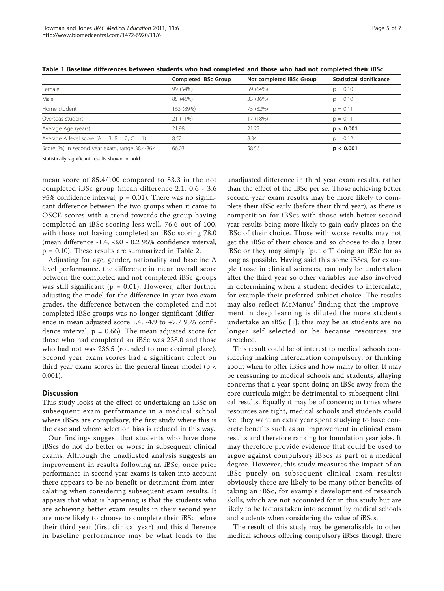|                                                | Completed iBSc Group | Not completed iBSc Group | <b>Statistical significance</b> |
|------------------------------------------------|----------------------|--------------------------|---------------------------------|
| Female                                         | 99 (54%)             | 59 (64%)                 | $p = 0.10$                      |
| Male                                           | 85 (46%)             | 33 (36%)                 | $p = 0.10$                      |
| Home student                                   | 163 (89%)            | 75 (82%)                 | $p = 0.11$                      |
| Overseas student                               | 21 (11%)             | 17 (18%)                 | $p = 0.11$                      |
| Average Age (years)                            | 21.98                | 21.22                    | p < 0.001                       |
| Average A level score $(A = 3, B = 2, C = 1)$  | 8.52                 | 8.34                     | $p = 0.12$                      |
| Score (%) in second year exam, range 38.4-86.4 | 66.03                | 58.56                    | p < 0.001                       |

<span id="page-4-0"></span>Table 1 Baseline differences between students who had completed and those who had not completed their iBSc

Statistically significant results shown in bold.

mean score of 85.4/100 compared to 83.3 in the not completed iBSc group (mean difference 2.1, 0.6 - 3.6 95% confidence interval,  $p = 0.01$ ). There was no significant difference between the two groups when it came to OSCE scores with a trend towards the group having completed an iBSc scoring less well, 76.6 out of 100, with those not having completed an iBSc scoring 78.0 (mean difference -1.4, -3.0 - 0.2 95% confidence interval,  $p = 0.10$ ). These results are summarized in Table [2.](#page-5-0)

Adjusting for age, gender, nationality and baseline A level performance, the difference in mean overall score between the completed and not completed iBSc groups was still significant ( $p = 0.01$ ). However, after further adjusting the model for the difference in year two exam grades, the difference between the completed and not completed iBSc groups was no longer significant (difference in mean adjusted score 1.4, -4.9 to +7.7 95% confidence interval,  $p = 0.66$ ). The mean adjusted score for those who had completed an iBSc was 238.0 and those who had not was 236.5 (rounded to one decimal place). Second year exam scores had a significant effect on third year exam scores in the general linear model ( $p <$ 0.001).

#### **Discussion**

This study looks at the effect of undertaking an iBSc on subsequent exam performance in a medical school where iBScs are compulsory, the first study where this is the case and where selection bias is reduced in this way.

Our findings suggest that students who have done iBScs do not do better or worse in subsequent clinical exams. Although the unadjusted analysis suggests an improvement in results following an iBSc, once prior performance in second year exams is taken into account there appears to be no benefit or detriment from intercalating when considering subsequent exam results. It appears that what is happening is that the students who are achieving better exam results in their second year are more likely to choose to complete their iBSc before their third year (first clinical year) and this difference in baseline performance may be what leads to the

unadjusted difference in third year exam results, rather than the effect of the iBSc per se. Those achieving better second year exam results may be more likely to complete their iBSc early (before their third year), as there is competition for iBScs with those with better second year results being more likely to gain early places on the iBSc of their choice. Those with worse results may not get the iBSc of their choice and so choose to do a later iBSc or they may simply "put off" doing an iBSc for as long as possible. Having said this some iBScs, for example those in clinical sciences, can only be undertaken after the third year so other variables are also involved in determining when a student decides to intercalate, for example their preferred subject choice. The results may also reflect McManus' finding that the improvement in deep learning is diluted the more students undertake an iBSc [[1\]](#page-6-0); this may be as students are no longer self selected or be because resources are stretched.

This result could be of interest to medical schools considering making intercalation compulsory, or thinking about when to offer iBScs and how many to offer. It may be reassuring to medical schools and students, allaying concerns that a year spent doing an iBSc away from the core curricula might be detrimental to subsequent clinical results. Equally it may be of concern; in times where resources are tight, medical schools and students could feel they want an extra year spent studying to have concrete benefits such as an improvement in clinical exam results and therefore ranking for foundation year jobs. It may therefore provide evidence that could be used to argue against compulsory iBScs as part of a medical degree. However, this study measures the impact of an iBSc purely on subsequent clinical exam results; obviously there are likely to be many other benefits of taking an iBSc, for example development of research skills, which are not accounted for in this study but are likely to be factors taken into account by medical schools and students when considering the value of iBScs.

The result of this study may be generalisable to other medical schools offering compulsory iBScs though there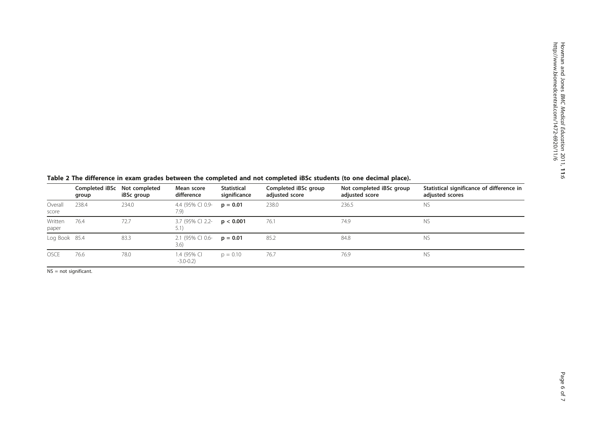<span id="page-5-0"></span>Table 2 The difference in exam grades between the completed and not completed iBSc students (to one decimal place).

|                  | group | Completed iBSc Not completed<br>iBSc group | Mean score<br>difference             | Statistical<br>significance | Completed iBSc group<br>adjusted score | Not completed iBSc group<br>adjusted score | Statistical significance of difference in<br>adjusted scores |  |  |
|------------------|-------|--------------------------------------------|--------------------------------------|-----------------------------|----------------------------------------|--------------------------------------------|--------------------------------------------------------------|--|--|
| Overall<br>score | 238.4 | 234.0                                      | 4.4 (95% CI 0.9-<br>7.9)             | $p = 0.01$                  | 238.0                                  | 236.5                                      | <b>NS</b>                                                    |  |  |
| Written<br>paper | 76.4  | 72.7                                       | 3.7 (95% CI 2.2- $p < 0.001$<br>5.1) |                             | 76.1                                   | 74.9                                       | <b>NS</b>                                                    |  |  |
| Log Book 85.4    |       | 83.3                                       | 2.1 (95% CI 0.6- $p = 0.01$<br>3.6)  |                             | 85.2                                   | 84.8                                       | <b>NS</b>                                                    |  |  |
| <b>OSCE</b>      | 76.6  | 78.0                                       | 1.4 (95% CI<br>$-3.0 - 0.2$          | $p = 0.10$                  | 76.7                                   | 76.9                                       | <b>NS</b>                                                    |  |  |

 $NS = not significant.$